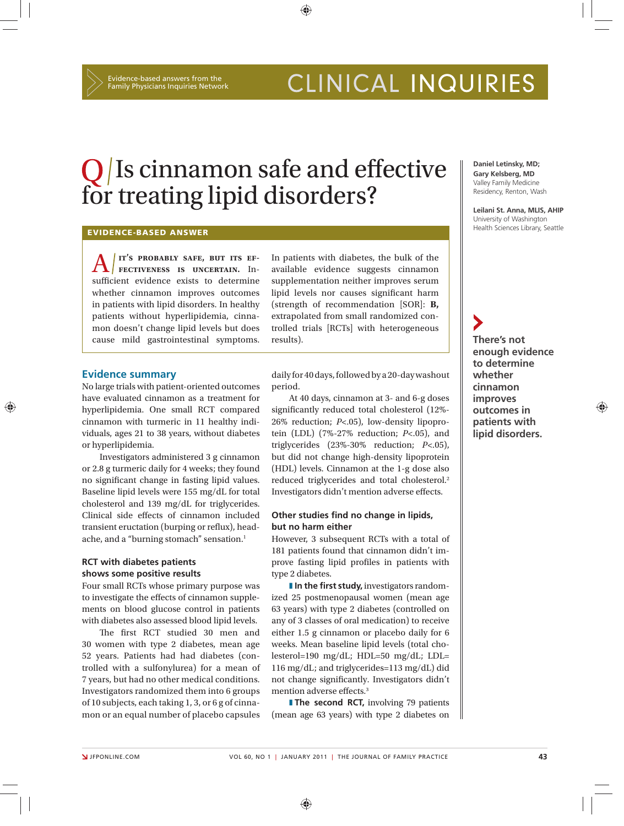# CLINICAL INQUIRIES

## $Q/Is$  cinnamon safe and effective for treating lipid disorders?

⊕

#### **EVIDENCE-BASED ANSWER**

A **it's probably safe, but its ef fectiveness is uncertain.** Insufficient evidence exists to determine whether cinnamon improves outcomes in patients with lipid disorders. In healthy patients without hyperlipidemia, cinnamon doesn't change lipid levels but does cause mild gastrointestinal symptoms.

In patients with diabetes, the bulk of the available evidence suggests cinnamon supplementation neither improves serum lipid levels nor causes significant harm (strength of recommendation [SOR]: **B,** extrapolated from small randomized controlled trials [RCTs] with heterogeneous results).

#### **Evidence summary**

No large trials with patient-oriented outcomes have evaluated cinnamon as a treatment for hyperlipidemia. One small RCT compared cinnamon with turmeric in 11 healthy individuals, ages 21 to 38 years, without diabetes or hyperlipidemia.

Investigators administered 3 g cinnamon or 2.8 g turmeric daily for 4 weeks; they found no significant change in fasting lipid values. Baseline lipid levels were 155 mg/dL for total cholesterol and 139 mg/dL for triglycerides. Clinical side effects of cinnamon included transient eructation (burping or reflux), headache, and a "burning stomach" sensation.<sup>1</sup>

### **RCT with diabetes patients shows some positive results**

Four small RCTs whose primary purpose was to investigate the effects of cinnamon supplements on blood glucose control in patients with diabetes also assessed blood lipid levels.

The first RCT studied 30 men and 30 women with type 2 diabetes, mean age 52 years. Patients had had diabetes (controlled with a sulfonylurea) for a mean of 7 years, but had no other medical conditions. Investigators randomized them into 6 groups of 10 subjects, each taking 1, 3, or 6 g of cinnamon or an equal number of placebo capsules daily for 40 days, followed by a 20-day washout period.

At 40 days, cinnamon at 3- and 6-g doses significantly reduced total cholesterol (12%-26% reduction; *P*<.05), low-density lipoprotein (LDL) (7%-27% reduction; *P*<.05), and triglycerides (23%-30% reduction; *P*<.05), but did not change high-density lipoprotein (HDL) levels. Cinnamon at the 1-g dose also reduced triglycerides and total cholesterol.2 Investigators didn't mention adverse effects.

#### **Other studies find no change in lipids, but no harm either**

However, 3 subsequent RCTs with a total of 181 patients found that cinnamon didn't improve fasting lipid profiles in patients with type 2 diabetes.

**I** In the first study, investigators randomized 25 postmenopausal women (mean age 63 years) with type 2 diabetes (controlled on any of 3 classes of oral medication) to receive either 1.5 g cinnamon or placebo daily for 6 weeks. Mean baseline lipid levels (total cholesterol=190 mg/dL; HDL=50 mg/dL; LDL= 116 mg/dL; and triglycerides=113 mg/dL) did not change significantly. Investigators didn't mention adverse effects.<sup>3</sup>

**The second RCT, involving 79 patients** (mean age 63 years) with type 2 diabetes on

**Daniel Letinsky, MD; Gary Kelsberg, MD** Valley Family Medicine Residency, Renton, Wash

**Leilani St. Anna, MLIS, AHIP** University of Washington Health Sciences Library, Seattle

**There's not enough evidence to determine whether cinnamon improves outcomes in patients with lipid disorders.**

⊕

⊕